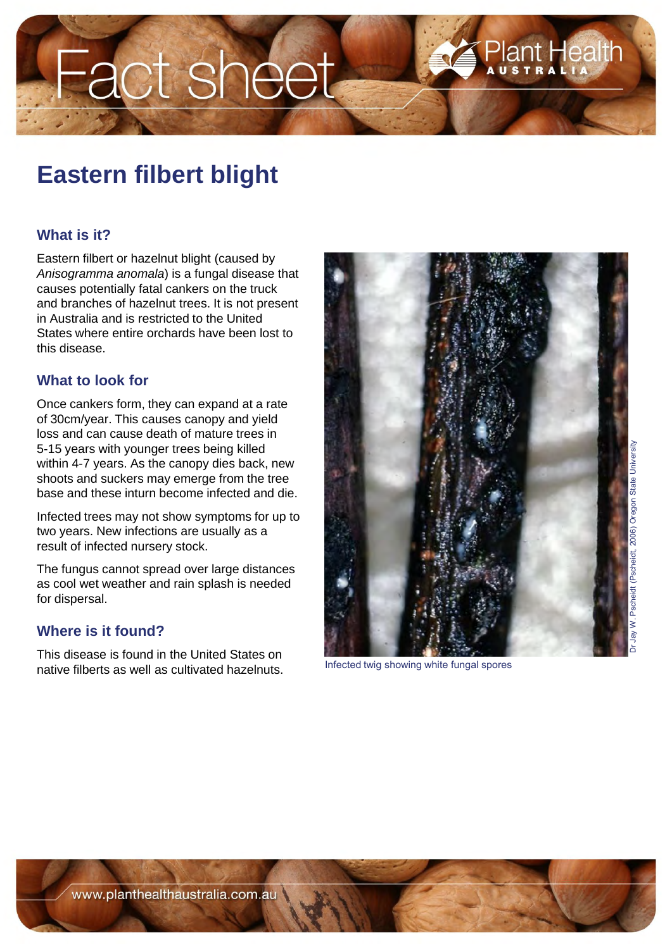# Fact sheet

## **Eastern filbert blight**

### **What is it?**

Eastern filbert or hazelnut blight (caused by *Anisogramma anomala*) is a fungal disease that causes potentially fatal cankers on the truck and branches of hazelnut trees. It is not present in Australia and is restricted to the United States where entire orchards have been lost to this disease.

#### **What to look for**

Once cankers form, they can expand at a rate of 30cm/year. This causes canopy and yield loss and can cause death of mature trees in 5-15 years with younger trees being killed within 4-7 years. As the canopy dies back, new shoots and suckers may emerge from the tree base and these inturn become infected and die.

Infected trees may not show symptoms for up to two years. New infections are usually as a result of infected nursery stock.

The fungus cannot spread over large distances as cool wet weather and rain splash is needed for dispersal.

#### **Where is it found?**

This disease is found in the United States on native filberts as well as cultivated hazelnuts. Infected twig showing white fungal spores